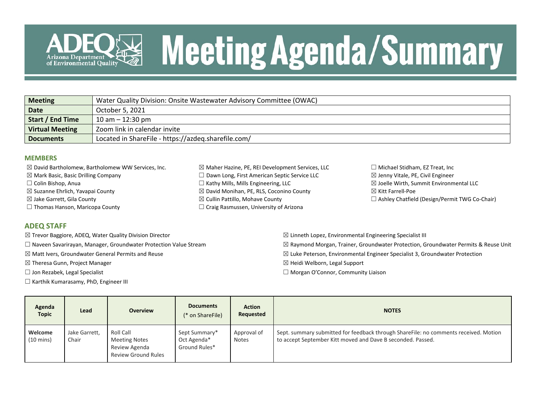

# **Meeting Agenda/Summary**

| <b>Meeting</b>          | Water Quality Division: Onsite Wastewater Advisory Committee (OWAC) |
|-------------------------|---------------------------------------------------------------------|
| <b>Date</b>             | October 5, 2021                                                     |
| <b>Start / End Time</b> | $10$ am $- 12:30$ pm                                                |
| <b>Virtual Meeting</b>  | Zoom link in calendar invite                                        |
| <b>Documents</b>        | Located in ShareFile - https://azdeq.sharefile.com/                 |

#### **MEMBERS**

- $\boxtimes$  David Bartholomew, Bartholomew WW Services, Inc.
- $\boxtimes$  Mark Basic, Basic Drilling Company
- ☐ Colin Bishop, Anua
- $\boxtimes$  Suzanne Ehrlich, Yavapai County
- $\boxtimes$  Jake Garrett, Gila County
- $\Box$  Thomas Hanson, Maricopa County
- $\boxtimes$  Maher Hazine, PE, REI Development Services, LLC ☐ Dawn Long, First American Septic Service LLC  $\Box$  Kathy Mills, Mills Engineering, LLC ☒ David Monihan, PE, RLS, Coconino County ☒ Cullin Pattillo, Mohave County  $\Box$  Craig Rasmussen, University of Arizona
- $\Box$  Michael Stidham, EZ Treat, Inc  $\boxtimes$  Jenny Vitale, PE, Civil Engineer  $\boxtimes$  Joelle Wirth, Summit Environmental LLC ☒ Kitt Farrell-Poe  $\Box$  Ashley Chatfield (Design/Permit TWG Co-Chair)

#### **ADEQ STAFF**

- $\boxtimes$  Trevor Baggiore, ADEQ, Water Quality Division Director
- ☐ Naveen Savarirayan, Manager, Groundwater Protection Value Stream
- ☒ Matt Ivers, Groundwater General Permits and Reuse
- ☒ Theresa Gunn, Project Manager
- ☐ Jon Rezabek, Legal Specialist
- $\Box$  Karthik Kumarasamy, PhD, Engineer III
- $\boxtimes$  Linneth Lopez, Environmental Engineering Specialist III  $\boxtimes$  Raymond Morgan, Trainer, Groundwater Protection, Groundwater Permits & Reuse Unit ☒ Luke Peterson, Environmental Engineer Specialist 3, Groundwater Protection
- ☒ Heidi Welborn, Legal Support
- ☐ Morgan O'Connor, Community Liaison

| Agenda<br>Topic                | Lead                   | <b>Overview</b>                                                                  | <b>Documents</b><br>(* on ShareFile)          | <b>Action</b><br>Requested  | <b>NOTES</b>                                                                                                                                        |  |  |  |
|--------------------------------|------------------------|----------------------------------------------------------------------------------|-----------------------------------------------|-----------------------------|-----------------------------------------------------------------------------------------------------------------------------------------------------|--|--|--|
| Welcome<br>$(10 \text{ mins})$ | Jake Garrett,<br>Chair | Roll Call<br><b>Meeting Notes</b><br>Review Agenda<br><b>Review Ground Rules</b> | Sept Summary*<br>Oct Agenda*<br>Ground Rules* | Approval of<br><b>Notes</b> | Sept. summary submitted for feedback through ShareFile: no comments received. Motion<br>to accept September Kitt moved and Dave B seconded. Passed. |  |  |  |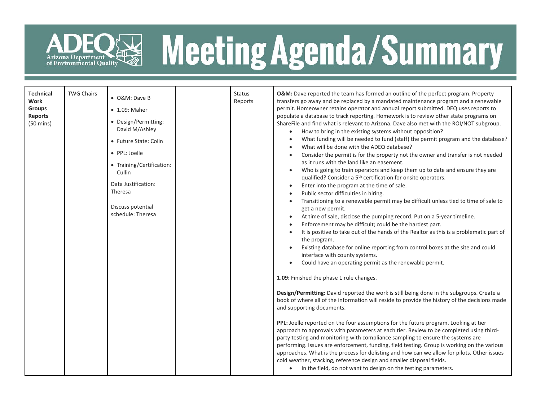

# ADEQ<sup>E</sup>Neeting Agenda/Summary

| <b>Technical</b><br><b>Work</b><br><b>Groups</b><br><b>Reports</b><br>$(50 \text{ mins})$ | <b>TWG Chairs</b> | • O&M: Dave B<br>• 1.09: Maher<br>• Design/Permitting:<br>David M/Ashley<br>• Future State: Colin<br>• PPL: Joelle<br>• Training/Certification:<br>Cullin<br>Data Justification:<br>Theresa<br>Discuss potential<br>schedule: Theresa |  | <b>Status</b><br>Reports | O&M: Dave reported the team has formed an outline of the perfect program. Property<br>transfers go away and be replaced by a mandated maintenance program and a renewable<br>permit. Homeowner retains operator and annual report submitted. DEQ uses reports to<br>populate a database to track reporting. Homework is to review other state programs on<br>ShareFile and find what is relevant to Arizona. Dave also met with the ROI/NOT subgroup.<br>How to bring in the existing systems without opposition?<br>$\bullet$<br>What funding will be needed to fund (staff) the permit program and the database?<br>What will be done with the ADEQ database?<br>Consider the permit is for the property not the owner and transfer is not needed<br>as it runs with the land like an easement.<br>Who is going to train operators and keep them up to date and ensure they are<br>qualified? Consider a 5 <sup>th</sup> certification for onsite operators.<br>Enter into the program at the time of sale.<br>$\bullet$<br>Public sector difficulties in hiring.<br>Transitioning to a renewable permit may be difficult unless tied to time of sale to<br>get a new permit.<br>At time of sale, disclose the pumping record. Put on a 5-year timeline.<br>Enforcement may be difficult; could be the hardest part.<br>It is positive to take out of the hands of the Realtor as this is a problematic part of<br>$\bullet$<br>the program.<br>Existing database for online reporting from control boxes at the site and could<br>interface with county systems.<br>Could have an operating permit as the renewable permit.<br>1.09: Finished the phase 1 rule changes.<br>Design/Permitting: David reported the work is still being done in the subgroups. Create a<br>book of where all of the information will reside to provide the history of the decisions made<br>and supporting documents.<br>PPL: Joelle reported on the four assumptions for the future program. Looking at tier<br>approach to approvals with parameters at each tier. Review to be completed using third-<br>party testing and monitoring with compliance sampling to ensure the systems are<br>performing. Issues are enforcement, funding, field testing. Group is working on the various<br>approaches. What is the process for delisting and how can we allow for pilots. Other issues<br>cold weather, stacking, reference design and smaller disposal fields.<br>• In the field, do not want to design on the testing parameters. |
|-------------------------------------------------------------------------------------------|-------------------|---------------------------------------------------------------------------------------------------------------------------------------------------------------------------------------------------------------------------------------|--|--------------------------|------------------------------------------------------------------------------------------------------------------------------------------------------------------------------------------------------------------------------------------------------------------------------------------------------------------------------------------------------------------------------------------------------------------------------------------------------------------------------------------------------------------------------------------------------------------------------------------------------------------------------------------------------------------------------------------------------------------------------------------------------------------------------------------------------------------------------------------------------------------------------------------------------------------------------------------------------------------------------------------------------------------------------------------------------------------------------------------------------------------------------------------------------------------------------------------------------------------------------------------------------------------------------------------------------------------------------------------------------------------------------------------------------------------------------------------------------------------------------------------------------------------------------------------------------------------------------------------------------------------------------------------------------------------------------------------------------------------------------------------------------------------------------------------------------------------------------------------------------------------------------------------------------------------------------------------------------------------------------------------------------------------------------------------------------------------------------------------------------------------------------------------------------------------------------------------------------------------------------------------------------------------------------------------------------------------------------------------------------------------------------------------------------------------------------------------------------------------------------------------------------------------------|
|-------------------------------------------------------------------------------------------|-------------------|---------------------------------------------------------------------------------------------------------------------------------------------------------------------------------------------------------------------------------------|--|--------------------------|------------------------------------------------------------------------------------------------------------------------------------------------------------------------------------------------------------------------------------------------------------------------------------------------------------------------------------------------------------------------------------------------------------------------------------------------------------------------------------------------------------------------------------------------------------------------------------------------------------------------------------------------------------------------------------------------------------------------------------------------------------------------------------------------------------------------------------------------------------------------------------------------------------------------------------------------------------------------------------------------------------------------------------------------------------------------------------------------------------------------------------------------------------------------------------------------------------------------------------------------------------------------------------------------------------------------------------------------------------------------------------------------------------------------------------------------------------------------------------------------------------------------------------------------------------------------------------------------------------------------------------------------------------------------------------------------------------------------------------------------------------------------------------------------------------------------------------------------------------------------------------------------------------------------------------------------------------------------------------------------------------------------------------------------------------------------------------------------------------------------------------------------------------------------------------------------------------------------------------------------------------------------------------------------------------------------------------------------------------------------------------------------------------------------------------------------------------------------------------------------------------------------|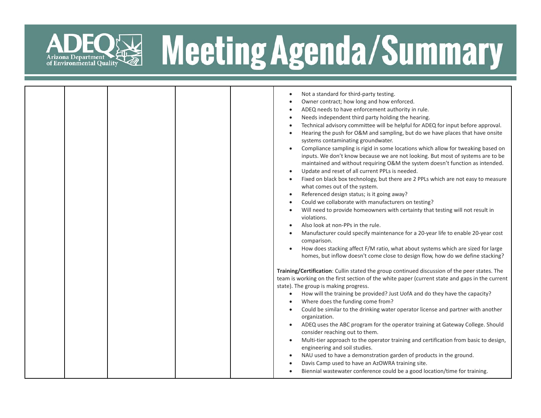

### R& Meeting Agenda/Summary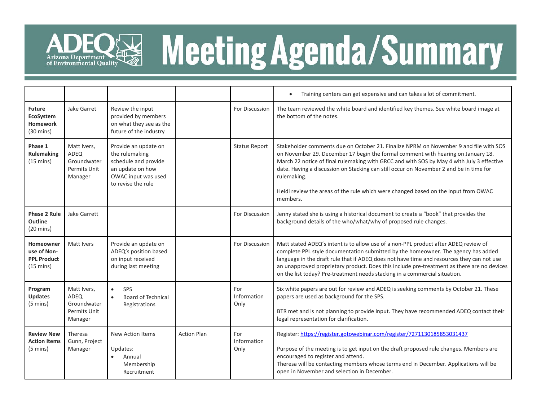

## ADEQ<sup>E</sup> Meeting Agenda/Summary

|                                                                       |                                                               |                                                                                                                                 |                    |                            | Training centers can get expensive and can takes a lot of commitment.                                                                                                                                                                                                                                                                                                                                                                                                             |  |  |  |  |
|-----------------------------------------------------------------------|---------------------------------------------------------------|---------------------------------------------------------------------------------------------------------------------------------|--------------------|----------------------------|-----------------------------------------------------------------------------------------------------------------------------------------------------------------------------------------------------------------------------------------------------------------------------------------------------------------------------------------------------------------------------------------------------------------------------------------------------------------------------------|--|--|--|--|
| <b>Future</b><br>EcoSystem<br><b>Homework</b><br>$(30 \text{ mins})$  | Jake Garret                                                   | Review the input<br>provided by members<br>on what they see as the<br>future of the industry                                    |                    | For Discussion             | The team reviewed the white board and identified key themes. See white board image at<br>the bottom of the notes.                                                                                                                                                                                                                                                                                                                                                                 |  |  |  |  |
| Phase 1<br>Rulemaking<br>$(15 \text{ mins})$                          | Matt Ivers,<br>ADEQ<br>Groundwater<br>Permits Unit<br>Manager | Provide an update on<br>the rulemaking<br>schedule and provide<br>an update on how<br>OWAC input was used<br>to revise the rule |                    | <b>Status Report</b>       | Stakeholder comments due on October 21. Finalize NPRM on November 9 and file with SOS<br>on November 29. December 17 begin the formal comment with hearing on January 18.<br>March 22 notice of final rulemaking with GRCC and with SOS by May 4 with July 3 effective<br>date. Having a discussion on Stacking can still occur on November 2 and be in time for<br>rulemaking.<br>Heidi review the areas of the rule which were changed based on the input from OWAC<br>members. |  |  |  |  |
| Phase 2 Rule<br>Outline<br>$(20 \text{ mins})$                        | Jake Garrett                                                  |                                                                                                                                 |                    | For Discussion             | Jenny stated she is using a historical document to create a "book" that provides the<br>background details of the who/what/why of proposed rule changes.                                                                                                                                                                                                                                                                                                                          |  |  |  |  |
| Homeowner<br>use of Non-<br><b>PPL Product</b><br>$(15 \text{ mins})$ | Matt Ivers                                                    | Provide an update on<br>ADEQ's position based<br>on input received<br>during last meeting                                       |                    | For Discussion             | Matt stated ADEQ's intent is to allow use of a non-PPL product after ADEQ review of<br>complete PPL style documentation submitted by the homeowner. The agency has added<br>language in the draft rule that if ADEQ does not have time and resources they can not use<br>an unapproved proprietary product. Does this include pre-treatment as there are no devices<br>on the list today? Pre-treatment needs stacking in a commercial situation.                                 |  |  |  |  |
| Program<br><b>Updates</b><br>$(5 \text{ mins})$                       | Matt Ivers,<br>ADEQ<br>Groundwater<br>Permits Unit<br>Manager | <b>SPS</b><br>$\bullet$<br><b>Board of Technical</b><br>$\bullet$<br>Registrations                                              |                    | For<br>Information<br>Only | Six white papers are out for review and ADEQ is seeking comments by October 21. These<br>papers are used as background for the SPS.<br>BTR met and is not planning to provide input. They have recommended ADEQ contact their<br>legal representation for clarification.                                                                                                                                                                                                          |  |  |  |  |
| <b>Review New</b><br><b>Action Items</b><br>$(5 \text{ mins})$        | Theresa<br>Gunn, Project<br>Manager                           | <b>New Action Items</b><br>Updates:<br>$\bullet$<br>Annual<br>Membership<br>Recruitment                                         | <b>Action Plan</b> | For<br>Information<br>Only | Register: https://register.gotowebinar.com/register/7271130185853031437<br>Purpose of the meeting is to get input on the draft proposed rule changes. Members are<br>encouraged to register and attend.<br>Theresa will be contacting members whose terms end in December. Applications will be<br>open in November and selection in December.                                                                                                                                    |  |  |  |  |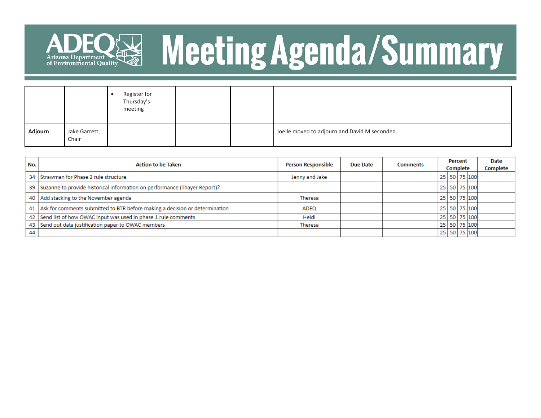

## ADEQ<sup>E</sup> Meeting Agenda/Summary

|         |                        | Register for<br>Thursday's<br>meeting |  |                                               |
|---------|------------------------|---------------------------------------|--|-----------------------------------------------|
| Adjourn | Jake Garrett,<br>Chair |                                       |  | Joelle moved to adjourn and David M seconded. |

| No. | <b>Action to be Taken</b>                                                      | <b>Person Responsible</b> | <b>Due Date</b> | <b>Comments</b> | Percent<br>Complete |  |  | Date<br>Complete |  |
|-----|--------------------------------------------------------------------------------|---------------------------|-----------------|-----------------|---------------------|--|--|------------------|--|
|     | 34 Strawman for Phase 2 rule structure                                         | Jenny and Jake            |                 |                 |                     |  |  | 25 50 75 100     |  |
|     | 39   Suzanne to provide historical information on performance (Thayer Report)? |                           |                 |                 |                     |  |  | 25 50 75 100     |  |
|     | 40 Add stacking to the November agenda                                         | Theresa                   |                 |                 |                     |  |  | 25 50 75 100     |  |
|     | 41 Ask for comments submitted to BTR before making a decision or determination | ADEQ                      |                 |                 |                     |  |  | 25 50 75 100     |  |
|     | 42 Send list of how OWAC input was used in phase 1 rule comments               | Heidi                     |                 |                 |                     |  |  | 25 50 75 100     |  |
|     | 43 Send out data justification paper to OWAC members                           | Theresa                   |                 |                 |                     |  |  | 25 50 75 100     |  |
| 44  |                                                                                |                           |                 |                 |                     |  |  | 25 50 75 100     |  |